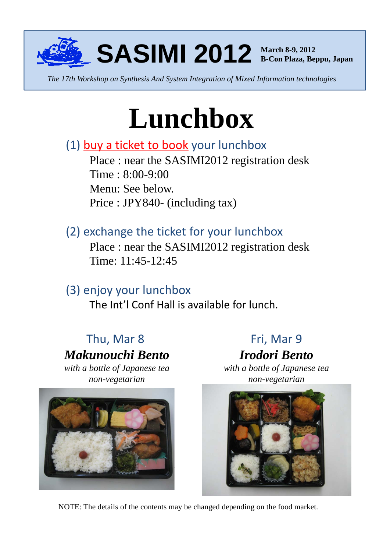

*The 17th Workshop on Synthesis And System Integration of Mixed Information technologies*

# **Lunchbox**

#### $(1)$  buy a ticket to book your lunchbox

Place : near the SASIMI2012 registration desk Time : 8:00-9:00 Menu: See below. Price : JPY840- (including tax)

#### (2) exchange the ticket for your lunchbox

Place : near the SASIMI2012 registration desk Time: 11:45-12:45

### (3) enjoy your lunchbox

The Int'l Conf Hall is available for lunch.

## Thu, Mar 8 *Makunouchi Bento*

*with a bottle of Japanese tea non-vegetarian*



Fri, Mar

*Irodori Bento*

*with a bottle of Japanese tea non-vegetarian*



NOTE: The details of the contents may be changed depending on the food market.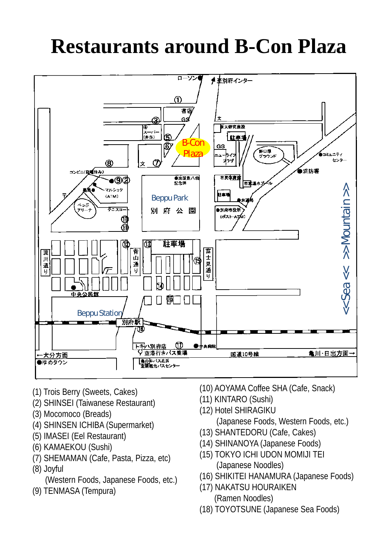# **Restaurants around B-Con Plaza**



- (1) Trois Berry (Sweets, Cakes)
- (2) SHINSEI (Taiwanese Restaurant) (11) KINTARO (Sushi) (2) SHINSEI (Taiwanese
- (3) Mocomoco (Breads)
- (4) SHINSEN ICHIBA (Supermarket)
- (5) IMASEI (Eel Restaurant)
- (6) KAMAEKOU (Sushi)
- (7) SHEMAMAN (Cafe, Pasta, Pizza, etc)
- (8) Joyful
- (Western Foods, Japanese Foods, etc.)
- (9) TENMASA (Tempura)
- (10) AOYAMA Coffee SHA (Cafe, Snack)
- (11) KINTARO (Sushi)
- (12) Hotel SHIRAGIKU
	- (Japanese Foods, Western Foods, etc.)
- (13) SHANTEDORU (Cafe, Cakes)
- (14) SHINANOYA (Japanese Foods)
- (15) TOKYO ICHI UDON MOMIJI TEI (Japanese Noodles) (1999)<br>(Japanese Noodles) (8) Joyful
	- (16) SHIKITEI HANAMURA (Japanese Foods)
	- (17) NAKATSU HOURAIKEN (Ramen Noodles)
	- (18) TOYOTSUNE (Japanese Sea Foods)